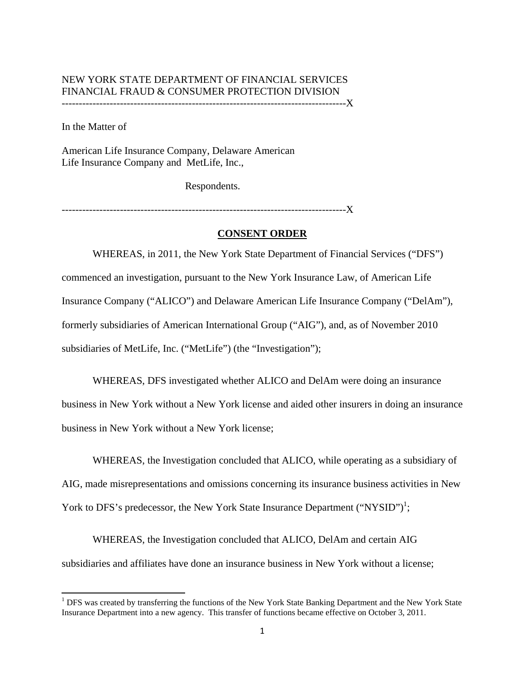## NEW YORK STATE DEPARTMENT OF FINANCIAL SERVICES FINANCIAL FRAUD & CONSUMER PROTECTION DIVISION -----------------------------------------------------------------------------------X

In the Matter of

American Life Insurance Company, Delaware American Life Insurance Company and MetLife, Inc.,

Respondents.

-----------------------------------------------------------------------------------X

## **CONSENT ORDER**

WHEREAS, in 2011, the New York State Department of Financial Services ("DFS") commenced an investigation, pursuant to the New York Insurance Law, of American Life Insurance Company ("ALICO") and Delaware American Life Insurance Company ("DelAm"), formerly subsidiaries of American International Group ("AIG"), and, as of November 2010 subsidiaries of MetLife, Inc. ("MetLife") (the "Investigation");

WHEREAS, DFS investigated whether ALICO and DelAm were doing an insurance business in New York without a New York license and aided other insurers in doing an insurance business in New York without a New York license;

WHEREAS, the Investigation concluded that ALICO, while operating as a subsidiary of AIG, made misrepresentations and omissions concerning its insurance business activities in New York to DFS's predecessor, the New York State Insurance Department ("NYSID")<sup>1</sup>;

WHEREAS, the Investigation concluded that ALICO, DelAm and certain AIG subsidiaries and affiliates have done an insurance business in New York without a license;

 Insurance Department into a new agency. This transfer of functions became effective on October 3, 2011. <sup>1</sup> DFS was created by transferring the functions of the New York State Banking Department and the New York State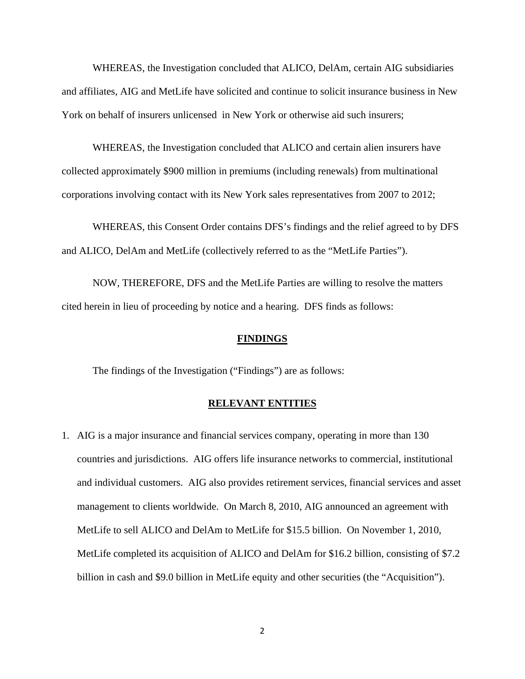WHEREAS, the Investigation concluded that ALICO, DelAm, certain AIG subsidiaries and affiliates, AIG and MetLife have solicited and continue to solicit insurance business in New York on behalf of insurers unlicensed in New York or otherwise aid such insurers;

WHEREAS, the Investigation concluded that ALICO and certain alien insurers have collected approximately \$900 million in premiums (including renewals) from multinational corporations involving contact with its New York sales representatives from 2007 to 2012;

WHEREAS, this Consent Order contains DFS's findings and the relief agreed to by DFS and ALICO, DelAm and MetLife (collectively referred to as the "MetLife Parties").

NOW, THEREFORE, DFS and the MetLife Parties are willing to resolve the matters cited herein in lieu of proceeding by notice and a hearing. DFS finds as follows:

### **FINDINGS**

The findings of the Investigation ("Findings") are as follows:

#### **RELEVANT ENTITIES**

1. AIG is a major insurance and financial services company, operating in more than 130 countries and jurisdictions. AIG offers life insurance networks to commercial, institutional and individual customers. AIG also provides retirement services, financial services and asset management to clients worldwide. On March 8, 2010, AIG announced an agreement with MetLife to sell ALICO and DelAm to MetLife for \$15.5 billion. On November 1, 2010, MetLife completed its acquisition of ALICO and DelAm for \$16.2 billion, consisting of \$7.2 billion in cash and \$9.0 billion in MetLife equity and other securities (the "Acquisition").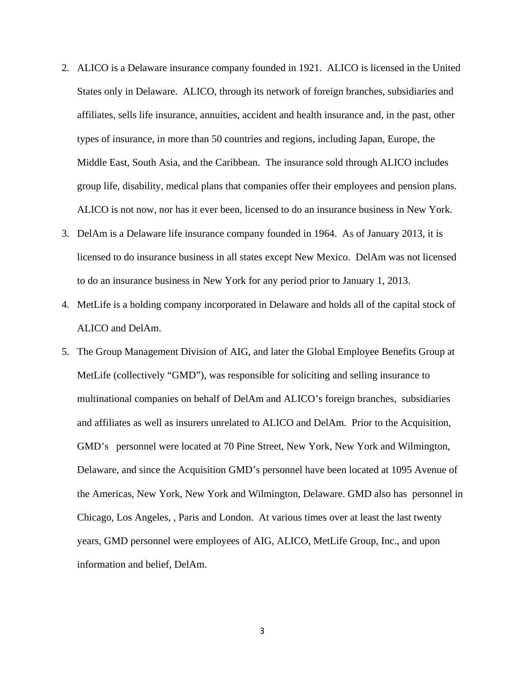- 2. ALICO is a Delaware insurance company founded in 1921. ALICO is licensed in the United States only in Delaware. ALICO, through its network of foreign branches, subsidiaries and affiliates, sells life insurance, annuities, accident and health insurance and, in the past, other types of insurance, in more than 50 countries and regions, including Japan, Europe, the Middle East, South Asia, and the Caribbean. The insurance sold through ALICO includes group life, disability, medical plans that companies offer their employees and pension plans. ALICO is not now, nor has it ever been, licensed to do an insurance business in New York.
- 3. DelAm is a Delaware life insurance company founded in 1964. As of January 2013, it is licensed to do insurance business in all states except New Mexico. DelAm was not licensed to do an insurance business in New York for any period prior to January 1, 2013.
- ALICO and DelAm. 4. MetLife is a holding company incorporated in Delaware and holds all of the capital stock of
- 5. The Group Management Division of AIG, and later the Global Employee Benefits Group at MetLife (collectively "GMD"), was responsible for soliciting and selling insurance to multinational companies on behalf of DelAm and ALICO's foreign branches, subsidiaries and affiliates as well as insurers unrelated to ALICO and DelAm. Prior to the Acquisition, GMD's personnel were located at 70 Pine Street, New York, New York and Wilmington, Delaware, and since the Acquisition GMD's personnel have been located at 1095 Avenue of the Americas, New York, New York and Wilmington, Delaware. GMD also has personnel in Chicago, Los Angeles, , Paris and London. At various times over at least the last twenty years, GMD personnel were employees of AIG, ALICO, MetLife Group, Inc., and upon information and belief, DelAm.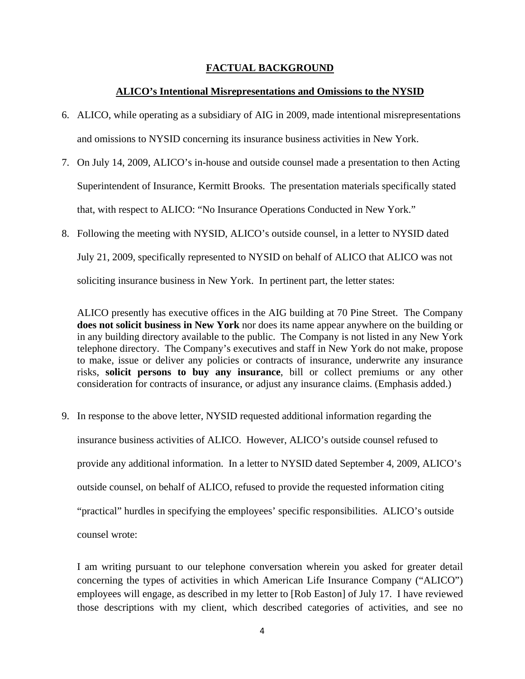## **FACTUAL BACKGROUND**

## **ALICO's Intentional Misrepresentations and Omissions to the NYSID**

- 6. ALICO, while operating as a subsidiary of AIG in 2009, made intentional misrepresentations and omissions to NYSID concerning its insurance business activities in New York.
- 7. On July 14, 2009, ALICO's in-house and outside counsel made a presentation to then Acting Superintendent of Insurance, Kermitt Brooks. The presentation materials specifically stated that, with respect to ALICO: "No Insurance Operations Conducted in New York."
- 8. Following the meeting with NYSID, ALICO's outside counsel, in a letter to NYSID dated July 21, 2009, specifically represented to NYSID on behalf of ALICO that ALICO was not soliciting insurance business in New York. In pertinent part, the letter states:

ALICO presently has executive offices in the AIG building at 70 Pine Street. The Company **does not solicit business in New York** nor does its name appear anywhere on the building or in any building directory available to the public. The Company is not listed in any New York telephone directory. The Company's executives and staff in New York do not make, propose to make, issue or deliver any policies or contracts of insurance, underwrite any insurance risks, **solicit persons to buy any insurance**, bill or collect premiums or any other consideration for contracts of insurance, or adjust any insurance claims. (Emphasis added.)

9. In response to the above letter, NYSID requested additional information regarding the insurance business activities of ALICO. However, ALICO's outside counsel refused to provide any additional information. In a letter to NYSID dated September 4, 2009, ALICO's outside counsel, on behalf of ALICO, refused to provide the requested information citing "practical" hurdles in specifying the employees' specific responsibilities. ALICO's outside counsel wrote:

I am writing pursuant to our telephone conversation wherein you asked for greater detail concerning the types of activities in which American Life Insurance Company ("ALICO") employees will engage, as described in my letter to [Rob Easton] of July 17. I have reviewed those descriptions with my client, which described categories of activities, and see no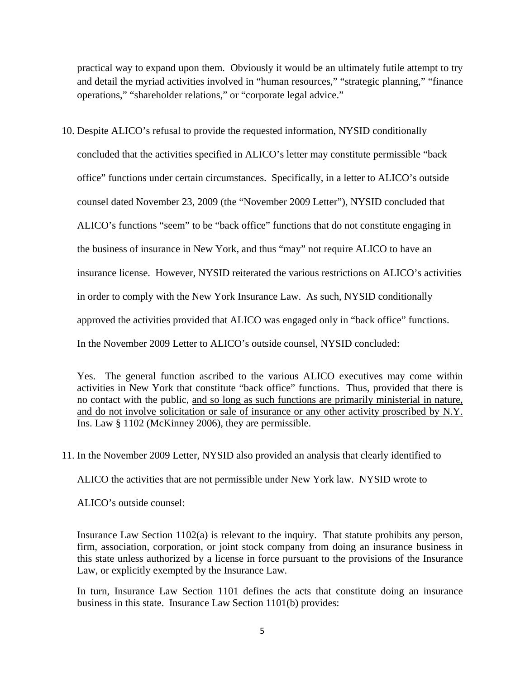practical way to expand upon them. Obviously it would be an ultimately futile attempt to try and detail the myriad activities involved in "human resources," "strategic planning," "finance operations," "shareholder relations," or "corporate legal advice."

10. Despite ALICO's refusal to provide the requested information, NYSID conditionally concluded that the activities specified in ALICO's letter may constitute permissible "back office" functions under certain circumstances. Specifically, in a letter to ALICO's outside counsel dated November 23, 2009 (the "November 2009 Letter"), NYSID concluded that ALICO's functions "seem" to be "back office" functions that do not constitute engaging in the business of insurance in New York, and thus "may" not require ALICO to have an insurance license. However, NYSID reiterated the various restrictions on ALICO's activities in order to comply with the New York Insurance Law. As such, NYSID conditionally approved the activities provided that ALICO was engaged only in "back office" functions. In the November 2009 Letter to ALICO's outside counsel, NYSID concluded:

Yes. The general function ascribed to the various ALICO executives may come within activities in New York that constitute "back office" functions. Thus, provided that there is no contact with the public, and so long as such functions are primarily ministerial in nature, and do not involve solicitation or sale of insurance or any other activity proscribed by N.Y. Ins. Law § 1102 (McKinney 2006), they are permissible.

11. In the November 2009 Letter, NYSID also provided an analysis that clearly identified to

ALICO the activities that are not permissible under New York law. NYSID wrote to

ALICO's outside counsel:

Insurance Law Section 1102(a) is relevant to the inquiry. That statute prohibits any person, firm, association, corporation, or joint stock company from doing an insurance business in this state unless authorized by a license in force pursuant to the provisions of the Insurance Law, or explicitly exempted by the Insurance Law.

In turn, Insurance Law Section 1101 defines the acts that constitute doing an insurance business in this state. Insurance Law Section 1101(b) provides: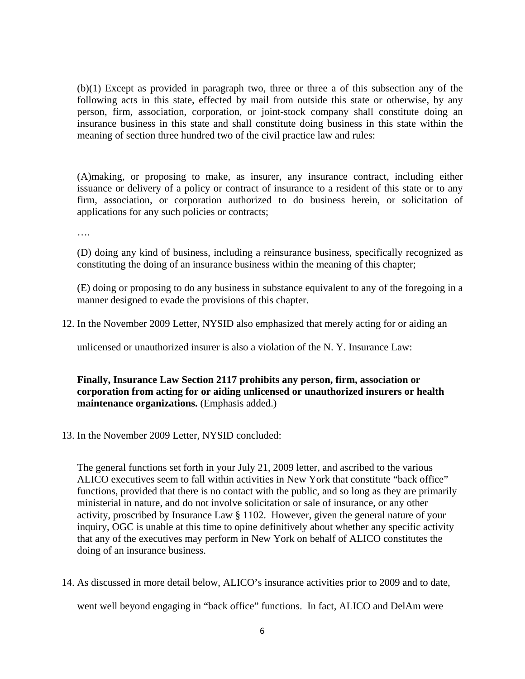(b)(1) Except as provided in paragraph two, three or three a of this subsection any of the following acts in this state, effected by mail from outside this state or otherwise, by any person, firm, association, corporation, or joint-stock company shall constitute doing an insurance business in this state and shall constitute doing business in this state within the meaning of section three hundred two of the civil practice law and rules:

(A)making, or proposing to make, as insurer, any insurance contract, including either issuance or delivery of a policy or contract of insurance to a resident of this state or to any firm, association, or corporation authorized to do business herein, or solicitation of applications for any such policies or contracts;

….

(D) doing any kind of business, including a reinsurance business, specifically recognized as constituting the doing of an insurance business within the meaning of this chapter;

(E) doing or proposing to do any business in substance equivalent to any of the foregoing in a manner designed to evade the provisions of this chapter.

12. In the November 2009 Letter, NYSID also emphasized that merely acting for or aiding an

unlicensed or unauthorized insurer is also a violation of the N. Y. Insurance Law:

**Finally, Insurance Law Section 2117 prohibits any person, firm, association or corporation from acting for or aiding unlicensed or unauthorized insurers or health maintenance organizations.** (Emphasis added.)

13. In the November 2009 Letter, NYSID concluded:

The general functions set forth in your July 21, 2009 letter, and ascribed to the various ALICO executives seem to fall within activities in New York that constitute "back office" functions, provided that there is no contact with the public, and so long as they are primarily ministerial in nature, and do not involve solicitation or sale of insurance, or any other activity, proscribed by Insurance Law § 1102. However, given the general nature of your inquiry, OGC is unable at this time to opine definitively about whether any specific activity that any of the executives may perform in New York on behalf of ALICO constitutes the doing of an insurance business.

14. As discussed in more detail below, ALICO's insurance activities prior to 2009 and to date, went well beyond engaging in "back office" functions. In fact, ALICO and DelAm were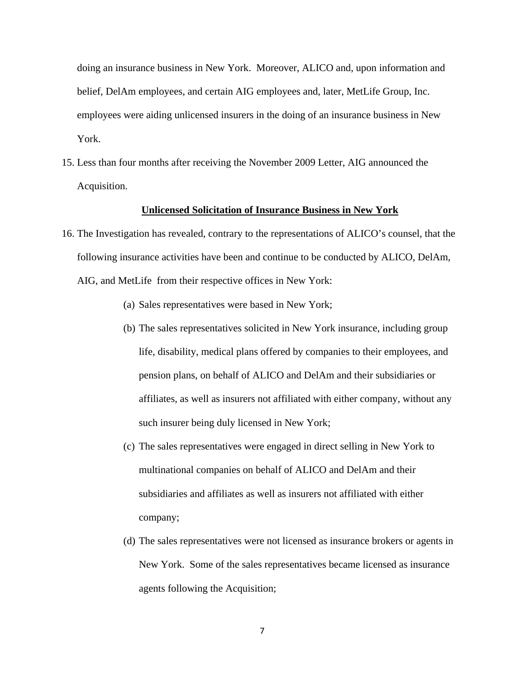doing an insurance business in New York. Moreover, ALICO and, upon information and belief, DelAm employees, and certain AIG employees and, later, MetLife Group, Inc. employees were aiding unlicensed insurers in the doing of an insurance business in New York.

15. Less than four months after receiving the November 2009 Letter, AIG announced the Acquisition.

## **Unlicensed Solicitation of Insurance Business in New York**

- 16. The Investigation has revealed, contrary to the representations of ALICO's counsel, that the following insurance activities have been and continue to be conducted by ALICO, DelAm, AIG, and MetLife from their respective offices in New York:
	- (a) Sales representatives were based in New York;
	- (b) The sales representatives solicited in New York insurance, including group life, disability, medical plans offered by companies to their employees, and pension plans, on behalf of ALICO and DelAm and their subsidiaries or affiliates, as well as insurers not affiliated with either company, without any such insurer being duly licensed in New York;
	- (c) The sales representatives were engaged in direct selling in New York to multinational companies on behalf of ALICO and DelAm and their subsidiaries and affiliates as well as insurers not affiliated with either company;
	- (d) The sales representatives were not licensed as insurance brokers or agents in New York. Some of the sales representatives became licensed as insurance agents following the Acquisition;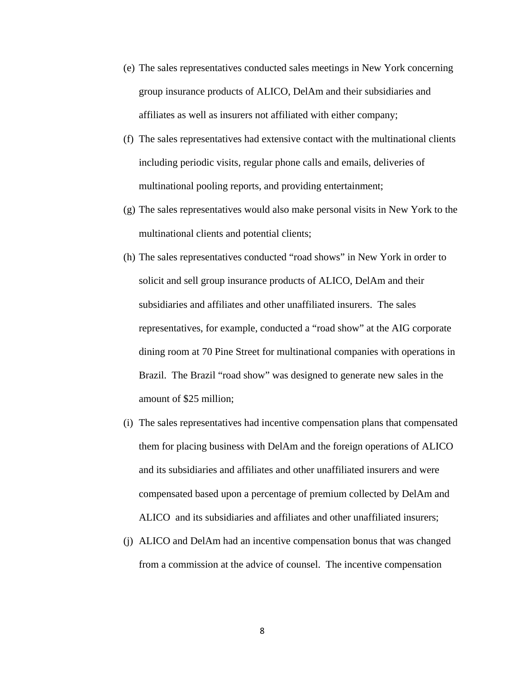- (e) The sales representatives conducted sales meetings in New York concerning group insurance products of ALICO, DelAm and their subsidiaries and affiliates as well as insurers not affiliated with either company;
- (f) The sales representatives had extensive contact with the multinational clients including periodic visits, regular phone calls and emails, deliveries of multinational pooling reports, and providing entertainment;
- (g) The sales representatives would also make personal visits in New York to the multinational clients and potential clients;
- amount of \$25 million; (h) The sales representatives conducted "road shows" in New York in order to solicit and sell group insurance products of ALICO, DelAm and their subsidiaries and affiliates and other unaffiliated insurers. The sales representatives, for example, conducted a "road show" at the AIG corporate dining room at 70 Pine Street for multinational companies with operations in Brazil. The Brazil "road show" was designed to generate new sales in the
- (i) The sales representatives had incentive compensation plans that compensated them for placing business with DelAm and the foreign operations of ALICO and its subsidiaries and affiliates and other unaffiliated insurers and were compensated based upon a percentage of premium collected by DelAm and ALICO and its subsidiaries and affiliates and other unaffiliated insurers;
- (j) ALICO and DelAm had an incentive compensation bonus that was changed from a commission at the advice of counsel. The incentive compensation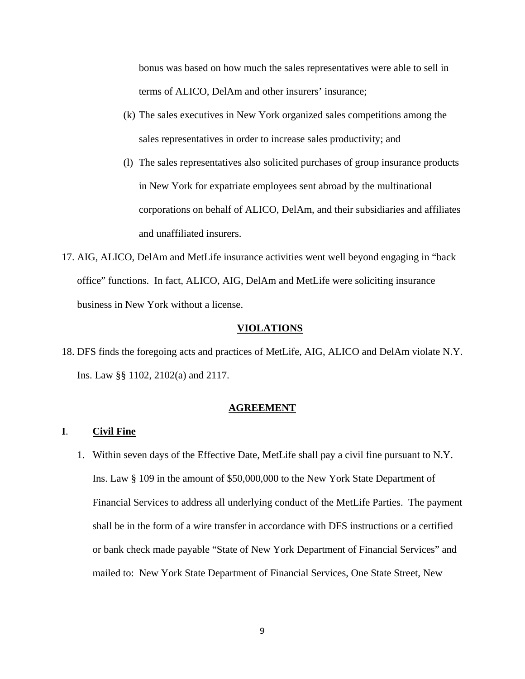terms of ALICO, DelAm and other insurers' insurance; bonus was based on how much the sales representatives were able to sell in

- $(k)$  The sales executives in New York organized sales competitions among the sales representatives in order to increase sales productivity; and
- and unaffiliated insurers (l) The sales representatives also solicited purchases of group insurance products in New York for expatriate employees sent abroad by the multinational corporations on behalf of ALICO, DelAm, and their subsidiaries and affiliates
- 17. AIG, ALICO, DelAm and MetLife insurance activities went well beyond engaging in "back" office" functions. In fact, ALICO, AIG, DelAm and MetLife were soliciting insurance business in New York without a license.

#### **VIOLATIONS**

18. DFS finds the foregoing acts and practices of MetLife, AIG, ALICO and DelAm violate N.Y. Ins. Law §§ 1102, 2102(a) and 2117.

#### **AGREEMENT**

## **I**. **Civil Fine**

1. Within seven days of the Effective Date, MetLife shall pay a civil fine pursuant to N.Y. Ins. Law § 109 in the amount of \$50,000,000 to the New York State Department of Financial Services to address all underlying conduct of the MetLife Parties. The payment shall be in the form of a wire transfer in accordance with DFS instructions or a certified or bank check made payable "State of New York Department of Financial Services" and mailed to: New York State Department of Financial Services, One State Street, New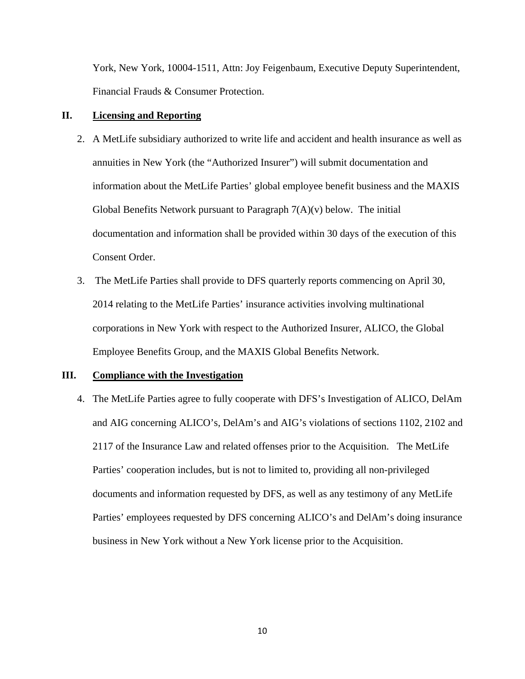York, New York, 10004-1511, Attn: Joy Feigenbaum, Executive Deputy Superintendent, Financial Frauds & Consumer Protection.

## **II. Licensing and Reporting**

- 2. A MetLife subsidiary authorized to write life and accident and health insurance as well as annuities in New York (the "Authorized Insurer") will submit documentation and information about the MetLife Parties' global employee benefit business and the MAXIS Global Benefits Network pursuant to Paragraph  $7(A)(v)$  below. The initial documentation and information shall be provided within 30 days of the execution of this Consent Order.
- 3. The MetLife Parties shall provide to DFS quarterly reports commencing on April 30, 2014 relating to the MetLife Parties' insurance activities involving multinational corporations in New York with respect to the Authorized Insurer, ALICO, the Global Employee Benefits Group, and the MAXIS Global Benefits Network.

## **III. Compliance with the Investigation**

4. The MetLife Parties agree to fully cooperate with DFS's Investigation of ALICO, DelAm and AIG concerning ALICO's, DelAm's and AIG's violations of sections 1102, 2102 and 2117 of the Insurance Law and related offenses prior to the Acquisition. The MetLife Parties' cooperation includes, but is not to limited to, providing all non-privileged documents and information requested by DFS, as well as any testimony of any MetLife Parties' employees requested by DFS concerning ALICO's and DelAm's doing insurance business in New York without a New York license prior to the Acquisition.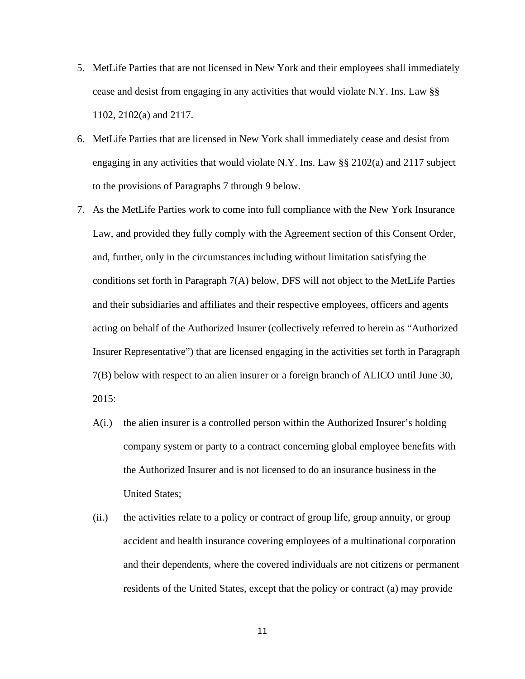- 5. MetLife Parties that are not licensed in New York and their employees shall immediately cease and desist from engaging in any activities that would violate N.Y. Ins. Law §§ 1102, 2102(a) and 2117.
- 6. MetLife Parties that are licensed in New York shall immediately cease and desist from engaging in any activities that would violate N.Y. Ins. Law  $\S$ § 2102(a) and 2117 subject to the provisions of Paragraphs 7 through 9 below.
- 7. As the MetLife Parties work to come into full compliance with the New York Insurance Law, and provided they fully comply with the Agreement section of this Consent Order, and, further, only in the circumstances including without limitation satisfying the conditions set forth in Paragraph 7(A) below, DFS will not object to the MetLife Parties and their subsidiaries and affiliates and their respective employees, officers and agents acting on behalf of the Authorized Insurer (collectively referred to herein as "Authorized Insurer Representative") that are licensed engaging in the activities set forth in Paragraph 7(B) below with respect to an alien insurer or a foreign branch of ALICO until June 30, 2015:
	- A(i.) the alien insurer is a controlled person within the Authorized Insurer's holding company system or party to a contract concerning global employee benefits with the Authorized Insurer and is not licensed to do an insurance business in the United States;
	- (ii.) the activities relate to a policy or contract of group life, group annuity, or group accident and health insurance covering employees of a multinational corporation and their dependents, where the covered individuals are not citizens or permanent residents of the United States, except that the policy or contract (a) may provide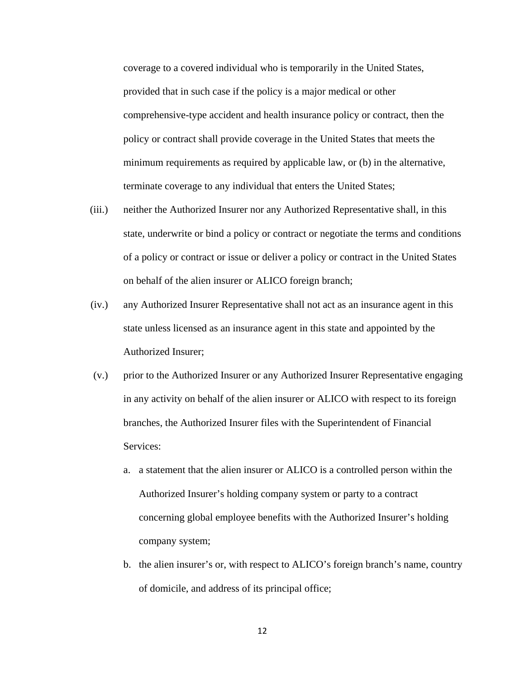coverage to a covered individual who is temporarily in the United States, provided that in such case if the policy is a major medical or other comprehensive-type accident and health insurance policy or contract, then the policy or contract shall provide coverage in the United States that meets the minimum requirements as required by applicable law, or (b) in the alternative, terminate coverage to any individual that enters the United States;

- (iii.) neither the Authorized Insurer nor any Authorized Representative shall, in this state, underwrite or bind a policy or contract or negotiate the terms and conditions of a policy or contract or issue or deliver a policy or contract in the United States on behalf of the alien insurer or ALICO foreign branch;
- (iv.) any Authorized Insurer Representative shall not act as an insurance agent in this state unless licensed as an insurance agent in this state and appointed by the Authorized Insurer;
- (v.) prior to the Authorized Insurer or any Authorized Insurer Representative engaging in any activity on behalf of the alien insurer or ALICO with respect to its foreign branches, the Authorized Insurer files with the Superintendent of Financial Services:
	- a. a statement that the alien insurer or ALICO is a controlled person within the Authorized Insurer's holding company system or party to a contract concerning global employee benefits with the Authorized Insurer's holding company system;
	- b. the alien insurer's or, with respect to ALICO's foreign branch's name, country of domicile, and address of its principal office;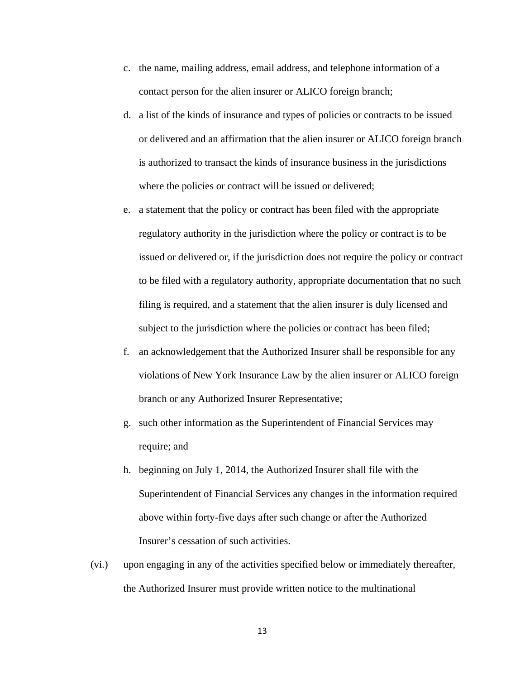- c. the name, mailing address, email address, and telephone information of a contact person for the alien insurer or ALICO foreign branch;
- d. a list of the kinds of insurance and types of policies or contracts to be issued or delivered and an affirmation that the alien insurer or ALICO foreign branch is authorized to transact the kinds of insurance business in the jurisdictions where the policies or contract will be issued or delivered;
- e. a statement that the policy or contract has been filed with the appropriate regulatory authority in the jurisdiction where the policy or contract is to be issued or delivered or, if the jurisdiction does not require the policy or contract to be filed with a regulatory authority, appropriate documentation that no such filing is required, and a statement that the alien insurer is duly licensed and subject to the jurisdiction where the policies or contract has been filed;
- f. an acknowledgement that the Authorized Insurer shall be responsible for any violations of New York Insurance Law by the alien insurer or ALICO foreign branch or any Authorized Insurer Representative;
- g. such other information as the Superintendent of Financial Services may require; and
- h. beginning on July 1, 2014, the Authorized Insurer shall file with the Superintendent of Financial Services any changes in the information required above within forty-five days after such change or after the Authorized Insurer's cessation of such activities.
- (vi.) upon engaging in any of the activities specified below or immediately thereafter, the Authorized Insurer must provide written notice to the multinational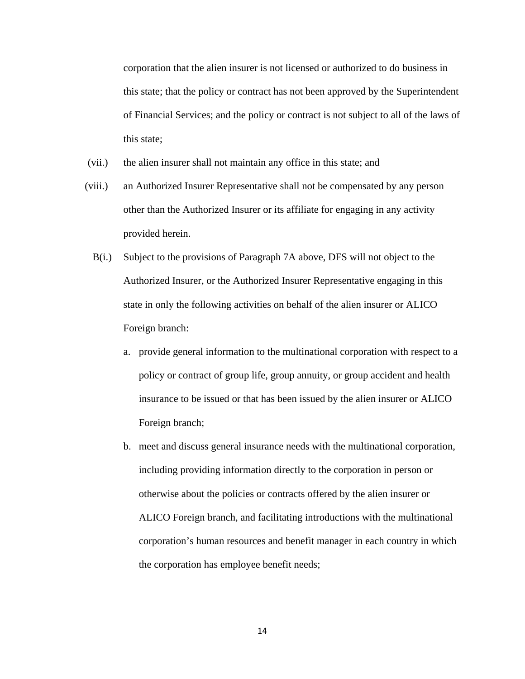corporation that the alien insurer is not licensed or authorized to do business in this state; that the policy or contract has not been approved by the Superintendent of Financial Services; and the policy or contract is not subject to all of the laws of this state;

- (vii.) the alien insurer shall not maintain any office in this state; and
- (viii.) an Authorized Insurer Representative shall not be compensated by any person other than the Authorized Insurer or its affiliate for engaging in any activity provided herein.
	- B(i.) Subject to the provisions of Paragraph 7A above, DFS will not object to the Authorized Insurer, or the Authorized Insurer Representative engaging in this state in only the following activities on behalf of the alien insurer or ALICO Foreign branch:
		- a. provide general information to the multinational corporation with respect to a policy or contract of group life, group annuity, or group accident and health insurance to be issued or that has been issued by the alien insurer or ALICO Foreign branch;
		- b. meet and discuss general insurance needs with the multinational corporation, including providing information directly to the corporation in person or otherwise about the policies or contracts offered by the alien insurer or ALICO Foreign branch, and facilitating introductions with the multinational corporation's human resources and benefit manager in each country in which the corporation has employee benefit needs;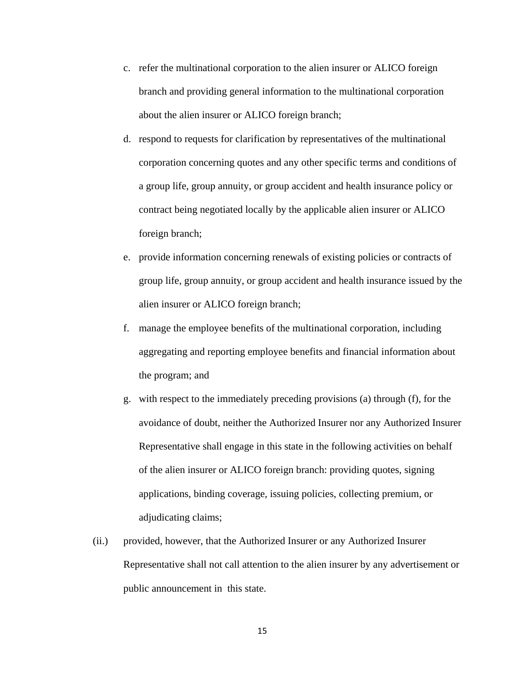- c. refer the multinational corporation to the alien insurer or ALICO foreign branch and providing general information to the multinational corporation about the alien insurer or ALICO foreign branch;
- d. respond to requests for clarification by representatives of the multinational corporation concerning quotes and any other specific terms and conditions of a group life, group annuity, or group accident and health insurance policy or contract being negotiated locally by the applicable alien insurer or ALICO foreign branch;
- e. provide information concerning renewals of existing policies or contracts of group life, group annuity, or group accident and health insurance issued by the alien insurer or ALICO foreign branch;
- f. manage the employee benefits of the multinational corporation, including aggregating and reporting employee benefits and financial information about the program; and
- g. with respect to the immediately preceding provisions (a) through (f), for the avoidance of doubt, neither the Authorized Insurer nor any Authorized Insurer Representative shall engage in this state in the following activities on behalf of the alien insurer or ALICO foreign branch: providing quotes, signing applications, binding coverage, issuing policies, collecting premium, or adjudicating claims;
- (ii.) provided, however, that the Authorized Insurer or any Authorized Insurer Representative shall not call attention to the alien insurer by any advertisement or public announcement in this state.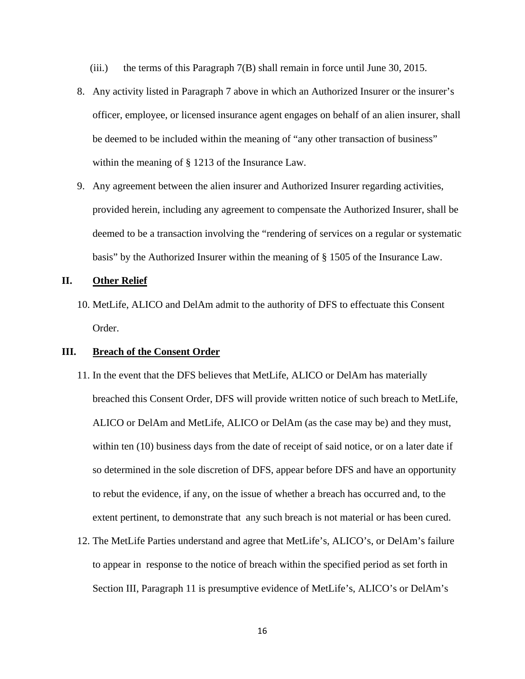- (iii.) the terms of this Paragraph 7(B) shall remain in force until June 30, 2015.
- 8. Any activity listed in Paragraph 7 above in which an Authorized Insurer or the insurer's officer, employee, or licensed insurance agent engages on behalf of an alien insurer, shall be deemed to be included within the meaning of "any other transaction of business" within the meaning of § 1213 of the Insurance Law.
- 9. Any agreement between the alien insurer and Authorized Insurer regarding activities, provided herein, including any agreement to compensate the Authorized Insurer, shall be deemed to be a transaction involving the "rendering of services on a regular or systematic basis" by the Authorized Insurer within the meaning of § 1505 of the Insurance Law.

### **II. Other Relief**

10. MetLife, ALICO and DelAm admit to the authority of DFS to effectuate this Consent Order.

## **III. Breach of the Consent Order**

- 11. In the event that the DFS believes that MetLife, ALICO or DelAm has materially breached this Consent Order, DFS will provide written notice of such breach to MetLife, ALICO or DelAm and MetLife, ALICO or DelAm (as the case may be) and they must, within ten (10) business days from the date of receipt of said notice, or on a later date if so determined in the sole discretion of DFS, appear before DFS and have an opportunity to rebut the evidence, if any, on the issue of whether a breach has occurred and, to the extent pertinent, to demonstrate that any such breach is not material or has been cured.
- 12. The MetLife Parties understand and agree that MetLife's, ALICO's, or DelAm's failure to appear in response to the notice of breach within the specified period as set forth in Section III, Paragraph 11 is presumptive evidence of MetLife's, ALICO's or DelAm's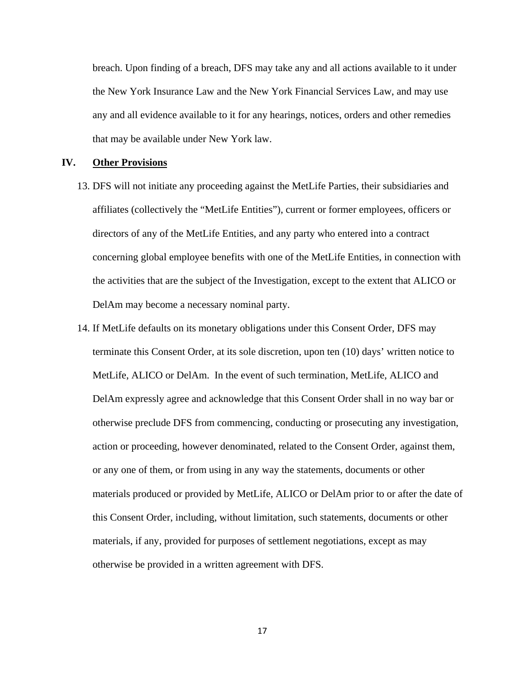breach. Upon finding of a breach, DFS may take any and all actions available to it under the New York Insurance Law and the New York Financial Services Law, and may use any and all evidence available to it for any hearings, notices, orders and other remedies that may be available under New York law.

## **IV. Other Provisions**

- 13. DFS will not initiate any proceeding against the MetLife Parties, their subsidiaries and affiliates (collectively the "MetLife Entities"), current or former employees, officers or directors of any of the MetLife Entities, and any party who entered into a contract concerning global employee benefits with one of the MetLife Entities, in connection with the activities that are the subject of the Investigation, except to the extent that ALICO or DelAm may become a necessary nominal party.
- 14. If MetLife defaults on its monetary obligations under this Consent Order, DFS may terminate this Consent Order, at its sole discretion, upon ten (10) days' written notice to MetLife, ALICO or DelAm. In the event of such termination, MetLife, ALICO and DelAm expressly agree and acknowledge that this Consent Order shall in no way bar or otherwise preclude DFS from commencing, conducting or prosecuting any investigation, action or proceeding, however denominated, related to the Consent Order, against them, or any one of them, or from using in any way the statements, documents or other materials produced or provided by MetLife, ALICO or DelAm prior to or after the date of this Consent Order, including, without limitation, such statements, documents or other materials, if any, provided for purposes of settlement negotiations, except as may otherwise be provided in a written agreement with DFS.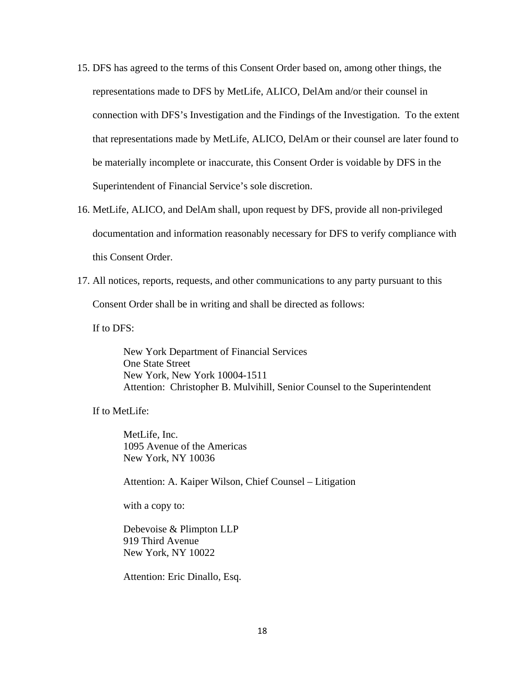- 15. DFS has agreed to the terms of this Consent Order based on, among other things, the representations made to DFS by MetLife, ALICO, DelAm and/or their counsel in connection with DFS's Investigation and the Findings of the Investigation. To the extent that representations made by MetLife, ALICO, DelAm or their counsel are later found to be materially incomplete or inaccurate, this Consent Order is voidable by DFS in the Superintendent of Financial Service's sole discretion.
- 16. MetLife, ALICO, and DelAm shall, upon request by DFS, provide all non-privileged documentation and information reasonably necessary for DFS to verify compliance with this Consent Order.
- 17. All notices, reports, requests, and other communications to any party pursuant to this Consent Order shall be in writing and shall be directed as follows:

If to DFS:

New York Department of Financial Services One State Street New York, New York 10004-1511 Attention: Christopher B. Mulvihill, Senior Counsel to the Superintendent

If to MetLife:

 MetLife, Inc. 1095 Avenue of the Americas New York, NY 10036

Attention: A. Kaiper Wilson, Chief Counsel – Litigation

with a copy to:

Debevoise & Plimpton LLP 919 Third Avenue New York, NY 10022

Attention: Eric Dinallo, Esq.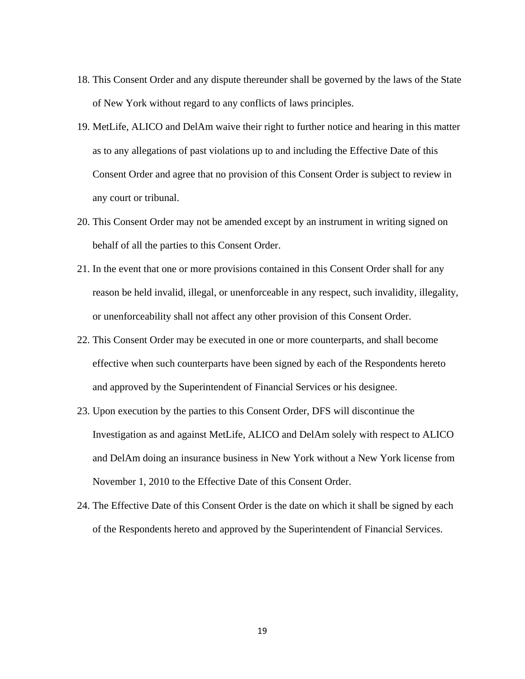- 18. This Consent Order and any dispute thereunder shall be governed by the laws of the State of New York without regard to any conflicts of laws principles.
- 19. MetLife, ALICO and DelAm waive their right to further notice and hearing in this matter as to any allegations of past violations up to and including the Effective Date of this Consent Order and agree that no provision of this Consent Order is subject to review in any court or tribunal.
- 20. This Consent Order may not be amended except by an instrument in writing signed on behalf of all the parties to this Consent Order.
- 21. In the event that one or more provisions contained in this Consent Order shall for any reason be held invalid, illegal, or unenforceable in any respect, such invalidity, illegality, or unenforceability shall not affect any other provision of this Consent Order.
- 22. This Consent Order may be executed in one or more counterparts, and shall become effective when such counterparts have been signed by each of the Respondents hereto and approved by the Superintendent of Financial Services or his designee.
- 23. Upon execution by the parties to this Consent Order, DFS will discontinue the Investigation as and against MetLife, ALICO and DelAm solely with respect to ALICO and DelAm doing an insurance business in New York without a New York license from November 1, 2010 to the Effective Date of this Consent Order.
- 24. The Effective Date of this Consent Order is the date on which it shall be signed by each of the Respondents hereto and approved by the Superintendent of Financial Services.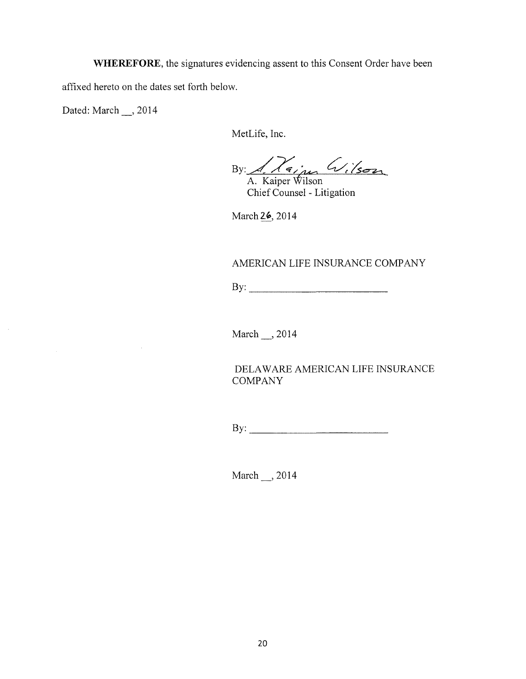**WHEREFORE,** the signatures evidencing assent to this Consent Order have been affixed hereto on the dates set forth below.

Dated: March \_\_, 2014

 $\mathcal{L}$ 

MetLife, Inc.

By: 1, 74; m Wilson

Chief Counsel - Litigation

March 26, 2014

# AMERICAN LIFE INSURANCE COMPANY

By: \_\_\_\_\_\_\_\_\_\_\_\_\_\_\_\_\_\_\_\_\_

March\_, 2014

DELAWARE AMERICAN LIFE INSURANCE **COMPANY** 

By: \_\_\_\_\_\_\_\_\_\_\_\_\_\_\_\_\_\_\_\_\_\_\_

March , 2014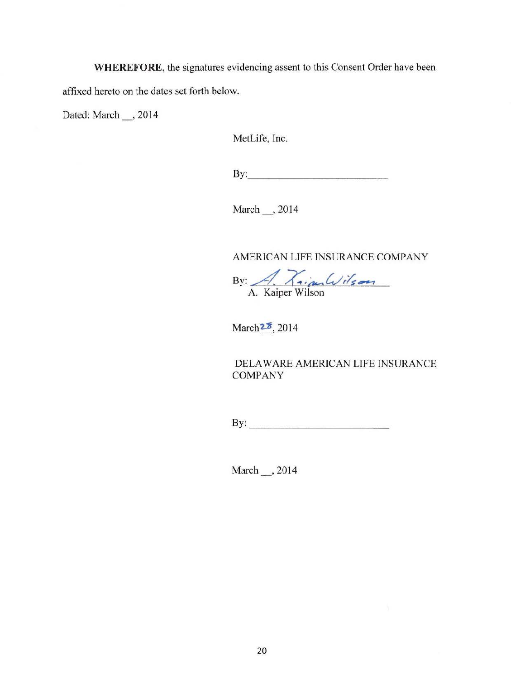**WHEREFORE,** the signatures evidencing assent to this Consent Order have been

affixed hereto on the dates set forth below.

Dated: March \_\_, 2014

MetLife, Inc.

 $\mathbf{By:}$ 

March ... , 2014

AMERICAN LIFE INSURANCE COMPANY

By: <u>A. Kim Wilson</u>

March<sup>22</sup>, 2014

DELAWARE AMERICAN LIFE INSURANCE COMPANY

By: \_\_\_\_\_\_\_\_\_\_\_\_\_\_\_\_\_\_\_\_\_\_

March \_\_, 2014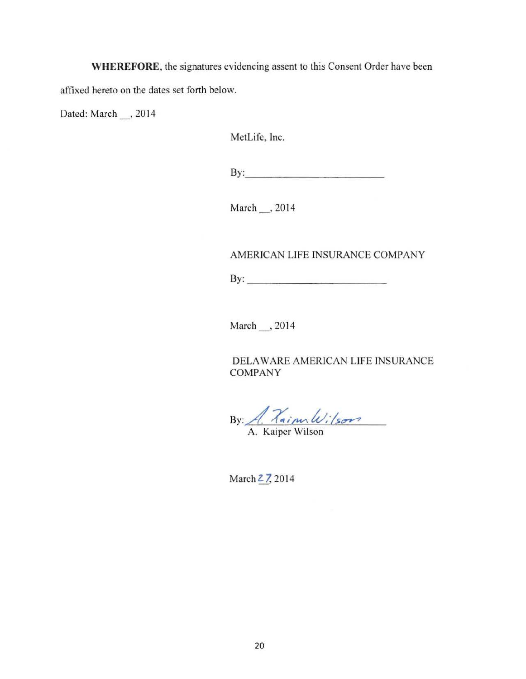WHEREFORE, the signatures evidencing assent to this Consent Order have been

affixed hereto on the dates set forth below.

Dated: March , 2014

MetLife, Inc.

By:---------------------

March \_, 2014

AMERICAN LIFE INSURANCE COMPANY

 $\mathbf{B} \mathbf{y}$ :

March , 2014

DELAWARE AMERICAN LIFE INSURANCE COMPANY

By: <u>A. Vainulvilson</u>

March  $27, 2014$